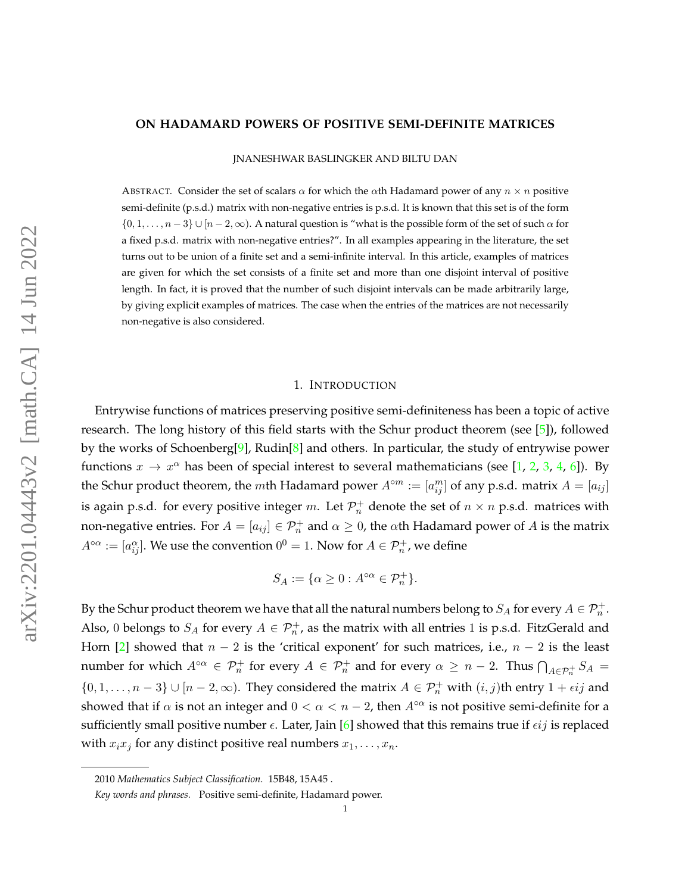#### **ON HADAMARD POWERS OF POSITIVE SEMI-DEFINITE MATRICES**

JNANESHWAR BASLINGKER AND BILTU DAN

ABSTRACT. Consider the set of scalars  $\alpha$  for which the  $\alpha$ th Hadamard power of any  $n \times n$  positive semi-definite (p.s.d.) matrix with non-negative entries is p.s.d. It is known that this set is of the form  $\{0, 1, \ldots, n-3\} \cup [n-2, \infty)$ . A natural question is "what is the possible form of the set of such  $\alpha$  for a fixed p.s.d. matrix with non-negative entries?". In all examples appearing in the literature, the set turns out to be union of a finite set and a semi-infinite interval. In this article, examples of matrices are given for which the set consists of a finite set and more than one disjoint interval of positive length. In fact, it is proved that the number of such disjoint intervals can be made arbitrarily large, by giving explicit examples of matrices. The case when the entries of the matrices are not necessarily non-negative is also considered.

# 1. INTRODUCTION

Entrywise functions of matrices preserving positive semi-definiteness has been a topic of active research. The long history of this field starts with the Schur product theorem (see [\[5\]](#page-7-0)), followed by the works of Schoenberg[\[9\]](#page-7-1), Rudin[\[8\]](#page-7-2) and others. In particular, the study of entrywise power functions  $x \to x^{\alpha}$  has been of special interest to several mathematicians (see [\[1,](#page-7-3) [2,](#page-7-4) [3,](#page-7-5) [4,](#page-7-6) [6\]](#page-7-7)). By the Schur product theorem, the mth Hadamard power  $A^{\circ m} := [a_{ij}^m]$  of any p.s.d. matrix  $A = [a_{ij}]$ is again p.s.d. for every positive integer  $m.$  Let  $\mathcal{P}^+_n$  denote the set of  $n \times n$  p.s.d. matrices with non-negative entries. For  $A=[a_{ij}]\in\mathcal{P}_n^+$  and  $\alpha\geq 0$ , the  $\alpha$ th Hadamard power of  $A$  is the matrix  $A^{\circ\alpha}:=[a_{ij}^\alpha].$  We use the convention  $0^0=1.$  Now for  $A\in \mathcal{P}^+_n$ , we define

$$
S_A := \{ \alpha \ge 0 : A^{\circ \alpha} \in \mathcal{P}_n^+ \}.
$$

By the Schur product theorem we have that all the natural numbers belong to  $S_A$  for every  $A\in \mathcal{P}^+_n$ . Also, 0 belongs to  $S_A$  for every  $A \in \mathcal{P}_n^+$ , as the matrix with all entries 1 is p.s.d. FitzGerald and Horn [\[2\]](#page-7-4) showed that  $n - 2$  is the 'critical exponent' for such matrices, i.e.,  $n - 2$  is the least number for which  $A^{\circ\alpha} \in \mathcal{P}_n^+$  for every  $A \in \mathcal{P}_n^+$  and for every  $\alpha \geq n-2$ . Thus  $\bigcap_{A \in \mathcal{P}_n^+} S_A =$  $\{0, 1, \ldots, n-3\} \cup [n-2, \infty)$ . They considered the matrix  $A \in \mathcal{P}_n^+$  with  $(i, j)$ th entry  $1 + \epsilon ij$  and showed that if  $\alpha$  is not an integer and  $0 < \alpha < n-2$ , then  $A^{\circ\alpha}$  is not positive semi-definite for a sufficiently small positive number  $\epsilon$ . Later, Jain [\[6\]](#page-7-7) showed that this remains true if  $\epsilon ij$  is replaced with  $x_ix_j$  for any distinct positive real numbers  $x_1, \ldots, x_n$ .

<sup>2010</sup> *Mathematics Subject Classification.* 15B48, 15A45 .

*Key words and phrases.* Positive semi-definite, Hadamard power.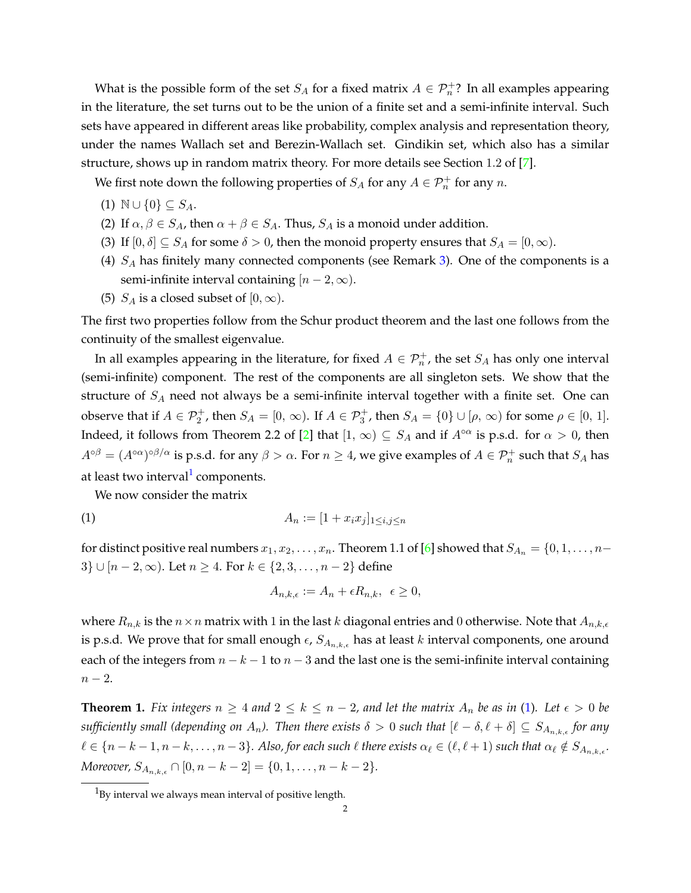What is the possible form of the set  $S_A$  for a fixed matrix  $A \in \mathcal{P}_n^+$ ? In all examples appearing in the literature, the set turns out to be the union of a finite set and a semi-infinite interval. Such sets have appeared in different areas like probability, complex analysis and representation theory, under the names Wallach set and Berezin-Wallach set. Gindikin set, which also has a similar structure, shows up in random matrix theory. For more details see Section 1.2 of [\[7\]](#page-7-8).

We first note down the following properties of  $S_A$  for any  $A \in \mathcal{P}_n^+$  for any  $n$ .

- (1)  $\mathbb{N} \cup \{0\} \subseteq S_A$ .
- (2) If  $\alpha, \beta \in S_A$ , then  $\alpha + \beta \in S_A$ . Thus,  $S_A$  is a monoid under addition.
- (3) If  $[0, \delta] \subseteq S_A$  for some  $\delta > 0$ , then the monoid property ensures that  $S_A = [0, \infty)$ .
- (4)  $S_A$  has finitely many connected components (see Remark [3\)](#page-2-0). One of the components is a semi-infinite interval containing  $[n-2,\infty)$ .
- (5)  $S_A$  is a closed subset of  $[0, \infty)$ .

The first two properties follow from the Schur product theorem and the last one follows from the continuity of the smallest eigenvalue.

In all examples appearing in the literature, for fixed  $A \in \mathcal{P}^+_n$ , the set  $S_A$  has only one interval (semi-infinite) component. The rest of the components are all singleton sets. We show that the structure of  $S_A$  need not always be a semi-infinite interval together with a finite set. One can observe that if  $A \in \mathcal{P}_2^+$ , then  $S_A = [0, \infty)$ . If  $A \in \mathcal{P}_3^+$ , then  $S_A = \{0\} \cup [\rho, \infty)$  for some  $\rho \in [0, 1]$ . Indeed, it follows from Theorem 2.2 of [\[2\]](#page-7-4) that  $[1, \infty) \subseteq S_A$  and if  $A^{\circ\alpha}$  is p.s.d. for  $\alpha > 0$ , then  $A^{\circ \beta}=(A^{\circ \alpha})^{\circ \beta/\alpha}$  is p.s.d. for any  $\beta>\alpha.$  For  $n\geq 4$ , we give examples of  $A\in \mathcal{P}^+_n$  such that  $S_A$  has at least two interval<sup>[1](#page-1-0)</sup> components.

<span id="page-1-1"></span>We now consider the matrix

(1) 
$$
A_n := [1 + x_i x_j]_{1 \le i, j \le n}
$$

for distinct positive real numbers  $x_1, x_2, \ldots, x_n$ . Theorem 1.1 of [\[6\]](#page-7-7) showed that  $S_{A_n} = \{0, 1, \ldots, n-1\}$ 3} ∪ [ $n - 2, \infty$ ). Let  $n \ge 4$ . For  $k \in \{2, 3, ..., n - 2\}$  define

$$
A_{n,k,\epsilon} := A_n + \epsilon R_{n,k}, \ \epsilon \ge 0,
$$

where  $R_{n,k}$  is the  $n \times n$  matrix with 1 in the last k diagonal entries and 0 otherwise. Note that  $A_{n,k,\epsilon}$ is p.s.d. We prove that for small enough  $\epsilon$ ,  $S_{A_{n,k,\epsilon}}$  has at least k interval components, one around each of the integers from  $n - k - 1$  to  $n - 3$  and the last one is the semi-infinite interval containing  $n-2$ .

<span id="page-1-2"></span>**Theorem 1.** Fix integers  $n \geq 4$  and  $2 \leq k \leq n-2$ , and let the matrix  $A_n$  be as in [\(1\)](#page-1-1). Let  $\epsilon > 0$  be *sufficiently small (depending on*  $A_n$ ). Then there exists  $\delta > 0$  *such that*  $[\ell - \delta, \ell + \delta] \subseteq S_{A_{n,k,\ell}}$  for any  $\ell \in \{n-k-1, n-k, \ldots, n-3\}$ . Also, for each such  $\ell$  there exists  $\alpha_{\ell} \in (\ell, \ell+1)$  such that  $\alpha_{\ell} \notin S_{A_{n,k,\epsilon}}$ . *Moreover,*  $S_{A_{n,k,\epsilon}} \cap [0, n-k-2] = \{0, 1, \ldots, n-k-2\}.$ 

<span id="page-1-0"></span> $1<sup>1</sup>$ By interval we always mean interval of positive length.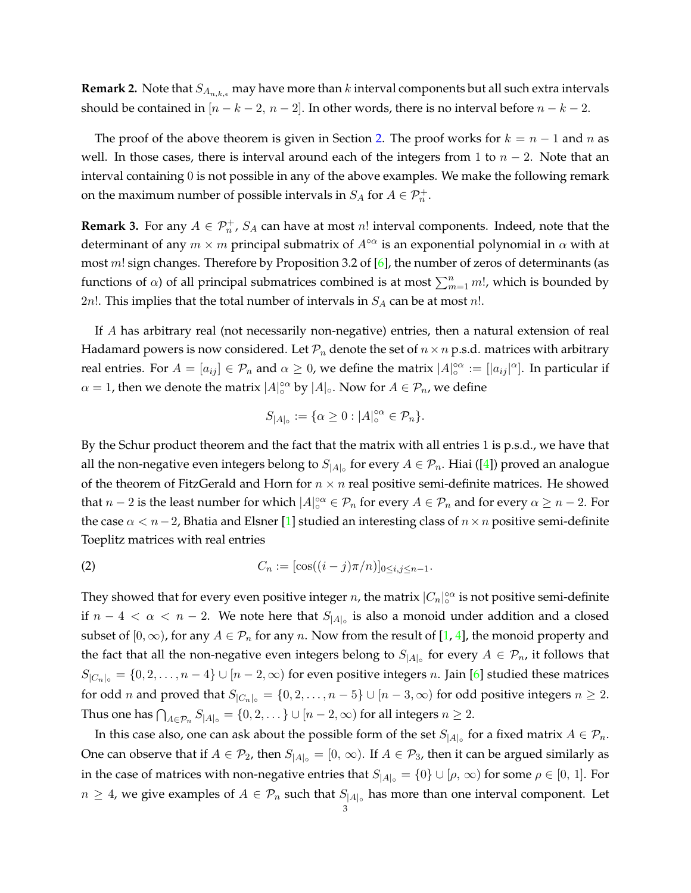**Remark 2.** Note that  $S_{A_{n,k,\epsilon}}$  may have more than k interval components but all such extra intervals should be contained in  $[n - k - 2, n - 2]$ . In other words, there is no interval before  $n - k - 2$ .

The proof of the above theorem is given in Section [2.](#page-4-0) The proof works for  $k = n - 1$  and n as well. In those cases, there is interval around each of the integers from 1 to  $n-2$ . Note that an interval containing 0 is not possible in any of the above examples. We make the following remark on the maximum number of possible intervals in  $S_A$  for  $A \in \mathcal{P}_n^+$ .

<span id="page-2-0"></span>**Remark 3.** For any  $A \in \mathcal{P}_n^+$ ,  $S_A$  can have at most n! interval components. Indeed, note that the determinant of any  $m \times m$  principal submatrix of  $A^{\circ\alpha}$  is an exponential polynomial in  $\alpha$  with at most  $m!$  sign changes. Therefore by Proposition 3.2 of  $[6]$ , the number of zeros of determinants (as functions of  $\alpha$ ) of all principal submatrices combined is at most  $\sum_{m=1}^{n} m!$ , which is bounded by 2n!. This implies that the total number of intervals in  $S_A$  can be at most n!.

If A has arbitrary real (not necessarily non-negative) entries, then a natural extension of real Hadamard powers is now considered. Let  $\mathcal{P}_n$  denote the set of  $n \times n$  p.s.d. matrices with arbitrary real entries. For  $A = [a_{ij}] \in \mathcal{P}_n$  and  $\alpha \geq 0$ , we define the matrix  $|A|_o^{\alpha \alpha} := [|a_{ij}|^{\alpha}]$ . In particular if  $\alpha = 1$ , then we denote the matrix  $|A|_0^{\alpha}$  by  $|A|_0$ . Now for  $A \in \mathcal{P}_n$ , we define

$$
S_{|A|_{\circ}} := \{ \alpha \ge 0 : |A|_{\circ}^{\circ \alpha} \in \mathcal{P}_n \}.
$$

By the Schur product theorem and the fact that the matrix with all entries 1 is p.s.d., we have that all the non-negative even integers belong to  $S_{|A|}^{\vphantom{\dagger}}$  for every  $A\in\mathcal{P}_n.$  Hiai ([\[4\]](#page-7-6)) proved an analogue of the theorem of FitzGerald and Horn for  $n \times n$  real positive semi-definite matrices. He showed that  $n-2$  is the least number for which  $|A|_0^{\circ\alpha}\in\mathcal{P}_n$  for every  $A\in\mathcal{P}_n$  and for every  $\alpha\geq n-2$ . For the case  $\alpha < n-2$ , Bhatia and Elsner [\[1\]](#page-7-3) studied an interesting class of  $n \times n$  positive semi-definite Toeplitz matrices with real entries

<span id="page-2-1"></span>(2) 
$$
C_n := [\cos((i-j)\pi/n)]_{0 \le i,j \le n-1}.
$$

They showed that for every even positive integer n, the matrix  $|C_n|_0^{\infty}$  is not positive semi-definite if  $n-4 < \alpha < n-2$ . We note here that  $S_{|A|_{\circ}}$  is also a monoid under addition and a closed subset of  $[0, \infty)$ , for any  $A \in \mathcal{P}_n$  for any n. Now from the result of [\[1,](#page-7-3) [4\]](#page-7-6), the monoid property and the fact that all the non-negative even integers belong to  $S_{|A|_0}$  for every  $A \in \mathcal{P}_n$ , it follows that  $S_{|C_n|_{\circ}} = \{0, 2, \ldots, n-4\} \cup [n-2, \infty)$  for even positive integers n. Jain [\[6\]](#page-7-7) studied these matrices for odd *n* and proved that  $S_{|C_n|_{\circ}} = \{0, 2, ..., n-5\} \cup [n-3, \infty)$  for odd positive integers  $n \geq 2$ . Thus one has  $\bigcap_{A\in\mathcal{P}_n}S_{|A|}=\{0,2,\dots\}\cup[n-2,\infty)$  for all integers  $n\geq 2$ .

In this case also, one can ask about the possible form of the set  $S_{|A|_{\circ}}$  for a fixed matrix  $A \in \mathcal{P}_n$ . One can observe that if  $A \in \mathcal{P}_2$ , then  $S_{|A|_{\circ}} = [0, \infty)$ . If  $A \in \mathcal{P}_3$ , then it can be argued similarly as in the case of matrices with non-negative entries that  $S_{|A|_{\circ}} = \{0\} \cup [\rho, \infty)$  for some  $\rho \in [0, 1]$ . For  $n \geq 4$ , we give examples of  $A \in \mathcal{P}_n$  such that  $S_{|A|_0}$  has more than one interval component. Let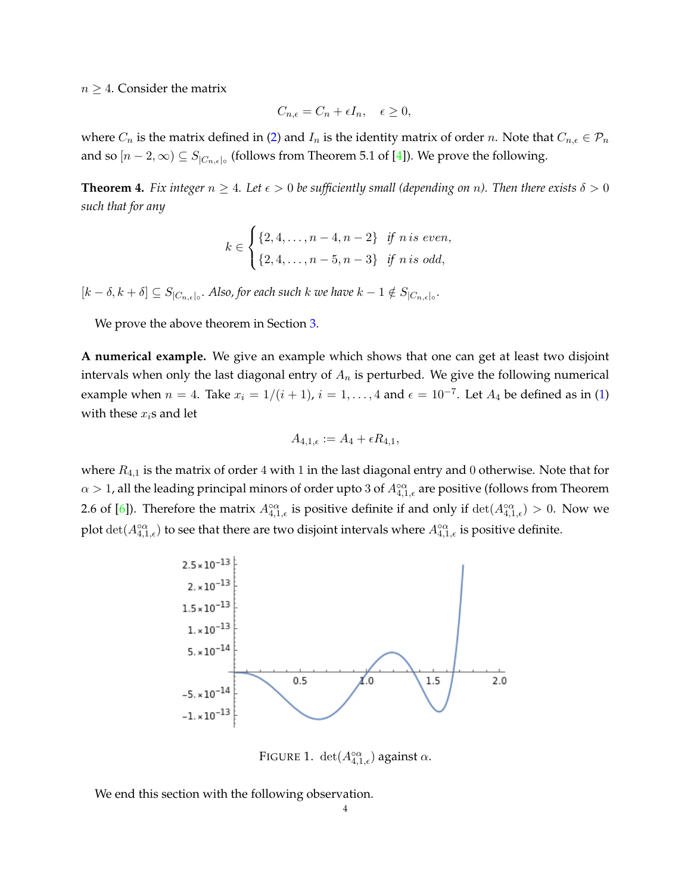$n \geq 4$ . Consider the matrix

$$
C_{n,\epsilon} = C_n + \epsilon I_n, \quad \epsilon \ge 0,
$$

where  $C_n$  is the matrix defined in [\(2\)](#page-2-1) and  $I_n$  is the identity matrix of order n. Note that  $C_{n,\epsilon} \in \mathcal{P}_n$ and so  $[n-2,\infty) \subseteq S_{|C_{n,\epsilon}|}$  (follows from Theorem 5.1 of [\[4\]](#page-7-6)). We prove the following.

<span id="page-3-0"></span>**Theorem 4.** *Fix integer*  $n \geq 4$ *. Let*  $\epsilon > 0$  *be sufficiently small (depending on* n). Then there exists  $\delta > 0$ *such that for any*

$$
k \in \begin{cases} \{2, 4, \dots, n-4, n-2\} & \text{if } n \text{ is even,} \\ \{2, 4, \dots, n-5, n-3\} & \text{if } n \text{ is odd,} \end{cases}
$$

 $[k-\delta, k+\delta] \subseteq S_{|C_{n,\epsilon}|}$ . Also, for each such k we have  $k-1 \notin S_{|C_{n,\epsilon}|}$ .

We prove the above theorem in Section [3.](#page-5-0)

**A numerical example.** We give an example which shows that one can get at least two disjoint intervals when only the last diagonal entry of  $A_n$  is perturbed. We give the following numerical example when  $n = 4$ . Take  $x_i = 1/(i + 1)$ ,  $i = 1, ..., 4$  and  $\epsilon = 10^{-7}$ . Let  $A_4$  be defined as in [\(1\)](#page-1-1) with these  $x_i$ s and let

$$
A_{4,1,\epsilon} := A_4 + \epsilon R_{4,1},
$$

where  $R_{4,1}$  is the matrix of order 4 with 1 in the last diagonal entry and 0 otherwise. Note that for  $\alpha > 1$ , all the leading principal minors of order upto 3 of  $A_{4,1,\epsilon}^{\circ\alpha}$  are positive (follows from Theorem 2.6 of [\[6\]](#page-7-7)). Therefore the matrix  $A_{4,1,\epsilon}^{\circ\alpha}$  is positive definite if and only if  $\det(A_{4,1,\epsilon}^{\circ\alpha})>0$ . Now we plot  $\det(A_{4,1,\epsilon}^{\circ\alpha})$  to see that there are two disjoint intervals where  $A_{4,1,\epsilon}^{\circ\alpha}$  is positive definite.



FIGURE 1.  $\det(A_{4,1,\epsilon}^{\circ\alpha})$  against  $\alpha$ .

We end this section with the following observation.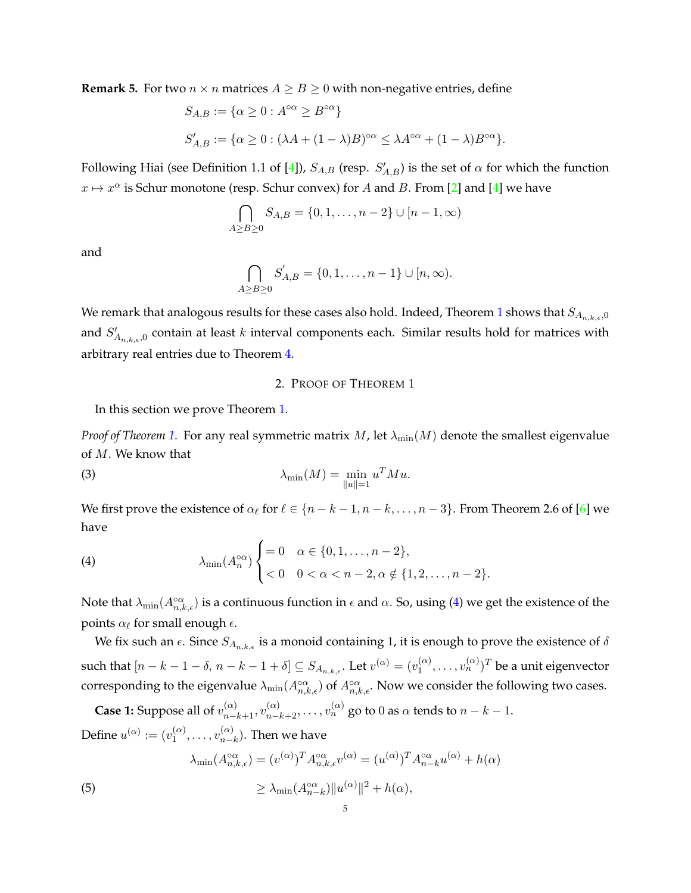**Remark 5.** For two  $n \times n$  matrices  $A \geq B \geq 0$  with non-negative entries, define

$$
S_{A,B} := \{ \alpha \ge 0 : A^{\circ \alpha} \ge B^{\circ \alpha} \}
$$
  

$$
S'_{A,B} := \{ \alpha \ge 0 : (\lambda A + (1 - \lambda)B)^{\circ \alpha} \le \lambda A^{\circ \alpha} + (1 - \lambda)B^{\circ \alpha} \}.
$$

Following Hiai (see Definition 1.1 of [\[4\]](#page-7-6)),  $S_{A,B}$  (resp.  $S'_{A,B}$ ) is the set of  $\alpha$  for which the function  $x \mapsto x^{\alpha}$  is Schur monotone (resp. Schur convex) for A and B. From [\[2\]](#page-7-4) and [\[4\]](#page-7-6) we have

$$
\bigcap_{A \ge B \ge 0} S_{A,B} = \{0, 1, \dots, n-2\} \cup [n-1, \infty)
$$

and

$$
\bigcap_{A \ge B \ge 0} S'_{A,B} = \{0, 1, \dots, n-1\} \cup [n, \infty).
$$

We remark that analogous results for these cases also hold. Indeed, Theorem [1](#page-1-2) shows that  $S_{A_{n,k,\epsilon},0}$ and  $S'_{A_{n,k,\epsilon},0}$  contain at least k interval components each. Similar results hold for matrices with arbitrary real entries due to Theorem [4.](#page-3-0)

## 2. PROOF OF THEOREM [1](#page-1-2)

<span id="page-4-0"></span>In this section we prove Theorem [1.](#page-1-2)

*Proof of Theorem* [1.](#page-1-2) For any real symmetric matrix M, let  $\lambda_{\min}(M)$  denote the smallest eigenvalue of M. We know that

<span id="page-4-3"></span>(3) 
$$
\lambda_{\min}(M) = \min_{\|u\|=1} u^T M u.
$$

We first prove the existence of  $\alpha_\ell$  for  $\ell \in \{n - k - 1, n - k, \ldots, n - 3\}$ . From Theorem 2.6 of [\[6\]](#page-7-7) we have

<span id="page-4-1"></span>(4) 
$$
\lambda_{\min}(A_n^{\circ\alpha}) \begin{cases} = 0 & \alpha \in \{0, 1, ..., n-2\}, \\ < 0 & 0 < \alpha < n-2, \alpha \notin \{1, 2, ..., n-2\}. \end{cases}
$$

Note that  $\lambda_{\min}(A_{n,k,\epsilon}^{\circ\alpha})$  is a continuous function in  $\epsilon$  and  $\alpha$ . So, using [\(4\)](#page-4-1) we get the existence of the points  $\alpha_{\ell}$  for small enough  $\epsilon$ .

We fix such an  $\epsilon$ . Since  $S_{A_{n,k,\epsilon}}$  is a monoid containing 1, it is enough to prove the existence of  $\delta$ such that  $[n-k-1-\delta, \, n-k-1+\delta] \subseteq S_{A_{n,k,\epsilon}}.$  Let  $v^{(\alpha)} = (v^{(\alpha)}_1)$  $\mathcal{L}_1^{(\alpha)},\ldots,\mathcal{v}_n^{(\alpha)})^T$  be a unit eigenvector corresponding to the eigenvalue  $\lambda_{\min}(A_{n,k,\epsilon}^{\circ\alpha})$  of  $A_{n,k,\epsilon}^{\circ\alpha}$ . Now we consider the following two cases.

**Case 1:** Suppose all of  $v_{n-k+1}^{(\alpha)}, v_{n-k+2}^{(\alpha)}, \ldots, v_n^{(\alpha)}$  go to 0 as  $\alpha$  tends to  $n - k - 1$ . Define  $u^{(\alpha)} := (v_1^{(\alpha)})$  $\binom{\alpha}{1},\ldots,\binom{\alpha}{n-1}$  $_{n-k}^{(\alpha)}$ ). Then we have

<span id="page-4-2"></span>(5)  
\n
$$
\lambda_{\min}(A_{n,k,\epsilon}^{\circ\alpha}) = (v^{(\alpha)})^T A_{n,k,\epsilon}^{\circ\alpha} v^{(\alpha)} = (u^{(\alpha)})^T A_{n-k}^{\circ\alpha} u^{(\alpha)} + h(\alpha)
$$
\n
$$
\geq \lambda_{\min}(A_{n-k}^{\circ\alpha}) \|u^{(\alpha)}\|^2 + h(\alpha),
$$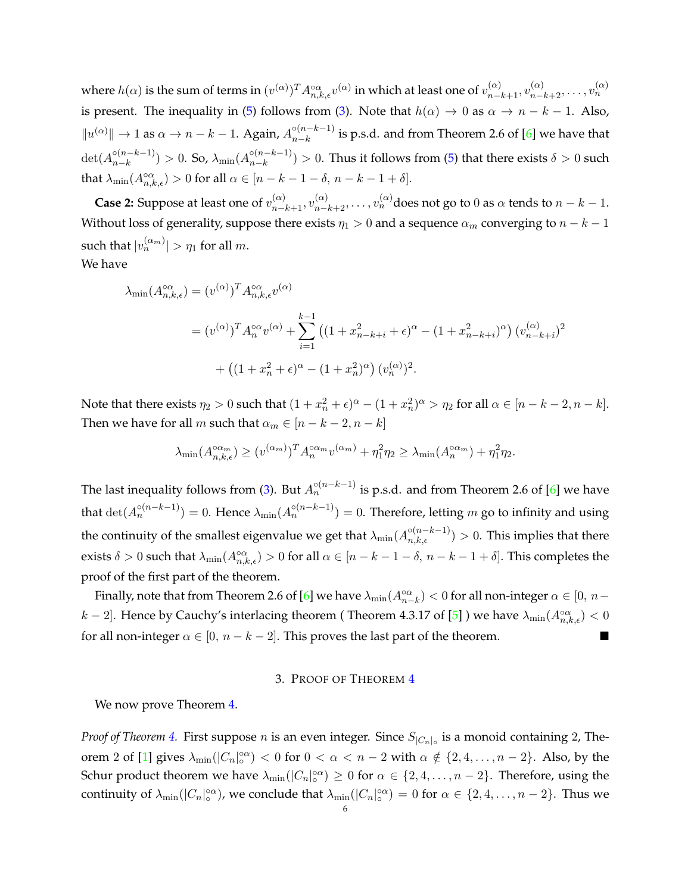where  $h(\alpha)$  is the sum of terms in  $(v^{(\alpha)})^TA_{n,k,\epsilon}^{\circ\alpha}v^{(\alpha)}$  in which at least one of  $v_{n-k+1}^{(\alpha)},v_{n-k+2}^{(\alpha)},\ldots,v_n^{(\alpha)}$ is present. The inequality in [\(5\)](#page-4-2) follows from [\(3\)](#page-4-3). Note that  $h(\alpha) \to 0$  as  $\alpha \to n - k - 1$ . Also,  $||u^{(\alpha)}|| \to 1$  as  $\alpha \to n-k-1$ . Again,  $A_{n-k}^{\circ (n-k-1)}$  $\sum_{n=k}^{n(n-k-1)}$  is p.s.d. and from Theorem 2.6 of [\[6\]](#page-7-7) we have that  $\det(A_{n-k}^{\circ (n-k-1)})$  $\binom{5(n-k-1)}{n-k} > 0$ . So, λ<sub>min</sub>(A $\binom{5(n-k-1)}{n-k}$  $\binom{n-k-1}{n-k} > 0$ . Thus it follows from [\(5\)](#page-4-2) that there exists  $\delta > 0$  such that  $\lambda_{\min}(A^{\circ\alpha}_{n,k,\epsilon}) > 0$  for all  $\alpha \in [n-k-1-\delta, n-k-1+\delta].$ 

**Case 2:** Suppose at least one of  $v_{n-k+1}^{(\alpha)}, v_{n-k+2}^{(\alpha)}, \ldots, v_n^{(\alpha)}$ does not go to 0 as  $\alpha$  tends to  $n-k-1$ . Without loss of generality, suppose there exists  $\eta_1 > 0$  and a sequence  $\alpha_m$  converging to  $n - k - 1$ such that  $|v_n^{(\alpha_m)}| > \eta_1$  for all  $m$ . We have

$$
\lambda_{\min}(A_{n,k,\epsilon}^{\infty}) = (v^{(\alpha)})^T A_{n,k,\epsilon}^{\infty} v^{(\alpha)}
$$
  
=  $(v^{(\alpha)})^T A_n^{\infty} v^{(\alpha)} + \sum_{i=1}^{k-1} ((1 + x_{n-k+i}^2 + \epsilon)^{\alpha} - (1 + x_{n-k+i}^2)^{\alpha}) (v_{n-k+i}^{(\alpha)})^2$   
+  $((1 + x_n^2 + \epsilon)^{\alpha} - (1 + x_n^2)^{\alpha}) (v_n^{(\alpha)})^2$ .

Note that there exists  $\eta_2 > 0$  such that  $(1+x_n^2 + \epsilon)^{\alpha} - (1+x_n^2)^{\alpha} > \eta_2$  for all  $\alpha \in [n-k-2, n-k]$ . Then we have for all m such that  $\alpha_m \in [n-k-2, n-k]$ 

$$
\lambda_{\min}(A_{n,k,\epsilon}^{\alpha_m}) \ge (v^{(\alpha_m)})^T A_n^{\alpha_m} v^{(\alpha_m)} + \eta_1^2 \eta_2 \ge \lambda_{\min}(A_n^{\alpha_m}) + \eta_1^2 \eta_2.
$$

The last inequality follows from [\(3\)](#page-4-3). But  $A_n^{\circ(n-k-1)}$  is p.s.d. and from Theorem 2.6 of [\[6\]](#page-7-7) we have that  $\det(A_n^{\circ(n-k-1)})=0.$  Hence  $\lambda_{\min}(A_n^{\circ(n-k-1)})=0.$  Therefore, letting  $m$  go to infinity and using the continuity of the smallest eigenvalue we get that  $\lambda_{\min}(A_{n,k,\epsilon}^{\circ(n-k-1)})>0.$  This implies that there exists  $\delta > 0$  such that  $\lambda_{\min}(A_{n,k,\epsilon}^{\infty}) > 0$  for all  $\alpha \in [n-k-1-\delta, n-k-1+\delta]$ . This completes the proof of the first part of the theorem.

Finally, note that from Theorem 2.6 of [\[6\]](#page-7-7) we have  $\lambda_{\min}(A_{n-k}^{\infty}) < 0$  for all non-integer  $\alpha \in [0, n-1]$  $k-2$ ]. Hence by Cauchy's interlacing theorem (Theorem 4.3.17 of [\[5\]](#page-7-0)) we have  $\lambda_{\min}(A_{n,k,\epsilon}^{\circ\alpha}) < 0$ for all non-integer  $\alpha \in [0, n-k-2]$ . This proves the last part of the theorem.

## 3. PROOF OF THEOREM [4](#page-3-0)

<span id="page-5-0"></span>We now prove Theorem [4.](#page-3-0)

*Proof of Theorem [4.](#page-3-0)* First suppose n is an even integer. Since  $S_{|C_n|_{\circ}}$  is a monoid containing 2, The-orem 2 of [\[1\]](#page-7-3) gives  $\lambda_{\min}(|C_n|_o^{\circ\alpha}) < 0$  for  $0 < \alpha < n-2$  with  $\alpha \notin \{2, 4, \ldots, n-2\}$ . Also, by the Schur product theorem we have  $\lambda_{\min}(|C_n|_o^{\alpha\alpha}) \geq 0$  for  $\alpha \in \{2, 4, \ldots, n-2\}$ . Therefore, using the continuity of  $\lambda_{\min}(|C_n|_o^{\circ\alpha})$ , we conclude that  $\lambda_{\min}(|C_n|_o^{\circ\alpha})=0$  for  $\alpha\in\{2,4,\ldots,n-2\}$ . Thus we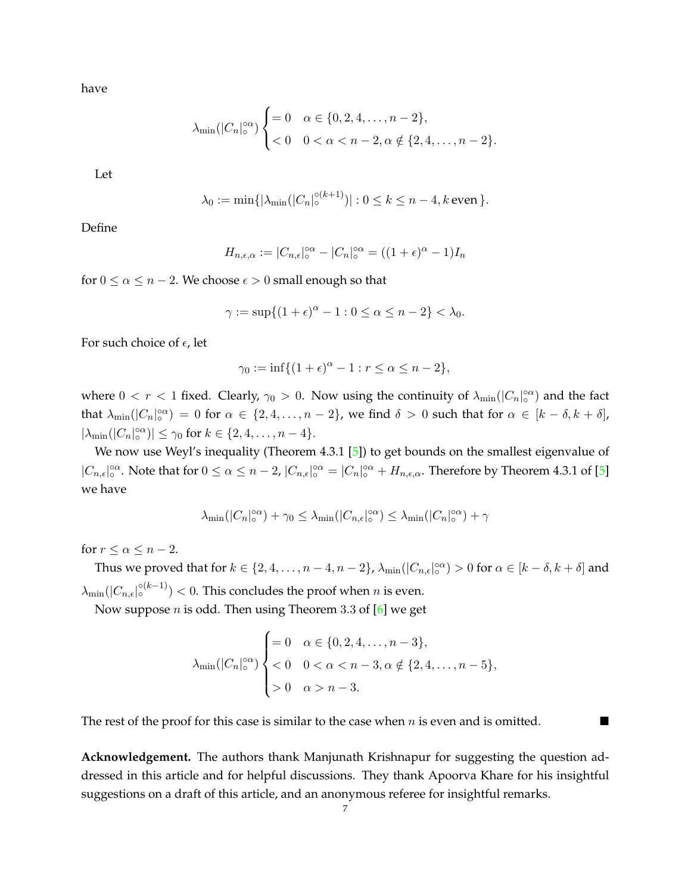have

$$
\lambda_{\min}(|C_n|_{\circ}^{\circ\alpha}) \begin{cases} = 0 & \alpha \in \{0, 2, 4, \dots, n-2\}, \\ < 0 & 0 < \alpha < n-2, \alpha \notin \{2, 4, \dots, n-2\}. \end{cases}
$$

Let

$$
\lambda_0 := \min\{|\lambda_{\min}(|C_n|_0^{\circ(k+1)})| : 0 \le k \le n-4, k \text{ even }\}.
$$

Define

$$
H_{n,\epsilon,\alpha} := |C_{n,\epsilon}|_{\circ}^{\circ\alpha} - |C_n|_{\circ}^{\circ\alpha} = ((1+\epsilon)^{\alpha} - 1)I_n
$$

for  $0 \le \alpha \le n-2$ . We choose  $\epsilon > 0$  small enough so that

$$
\gamma := \sup\{(1+\epsilon)^{\alpha} - 1 : 0 \le \alpha \le n-2\} < \lambda_0.
$$

For such choice of  $\epsilon$ , let

$$
\gamma_0 := \inf\{(1+\epsilon)^{\alpha} - 1 : r \le \alpha \le n - 2\},\
$$

where  $0 < r < 1$  fixed. Clearly,  $\gamma_0 > 0$ . Now using the continuity of  $\lambda_{\min}(|C_n|_0^{\infty})$  and the fact that  $\lambda_{\min}(|C_n|_0^{\infty}) = 0$  for  $\alpha \in \{2, 4, ..., n-2\}$ , we find  $\delta > 0$  such that for  $\alpha \in [k-\delta, k+\delta]$ ,  $|\lambda_{\min}(|C_n|_o^{\alpha\alpha})| \leq \gamma_0$  for  $k \in \{2, 4, \ldots, n-4\}.$ 

We now use Weyl's inequality (Theorem 4.3.1 [\[5\]](#page-7-0)) to get bounds on the smallest eigenvalue of  $|C_{n,\epsilon}|_{\circ}^{\circ\alpha}$ . Note that for  $0 \le \alpha \le n-2$ ,  $|C_{n,\epsilon}|_{\circ}^{\circ\alpha} = |C_n|_{\circ}^{\circ\alpha} + H_{n,\epsilon,\alpha}$ . Therefore by Theorem 4.3.1 of [\[5\]](#page-7-0) we have

$$
\lambda_{\min}(|C_n|_\mathrm{o}^{\mathrm{o}\alpha}) + \gamma_0 \leq \lambda_{\min}(|C_{n,\epsilon}|_\mathrm{o}^{\mathrm{o}\alpha}) \leq \lambda_{\min}(|C_n|_\mathrm{o}^{\mathrm{o}\alpha}) + \gamma
$$

for  $r \leq \alpha \leq n-2$ .

Thus we proved that for  $k \in \{2, 4, \ldots, n-4, n-2\}$ ,  $\lambda_{\min}(|C_{n,\epsilon}|^{\infty}_{\infty}) > 0$  for  $\alpha \in [k-\delta, k+\delta]$  and  $\lambda_{\min}(|C_{n,\epsilon}|^{\circ(k-1)}) < 0.$  This concludes the proof when  $n$  is even.

Now suppose  $n$  is odd. Then using Theorem 3.3 of  $[6]$  we get

$$
\lambda_{\min}(|C_n|_o^{\infty}) \begin{cases} = 0 & \alpha \in \{0, 2, 4, ..., n-3\}, \\ < 0 & 0 < \alpha < n-3, \alpha \notin \{2, 4, ..., n-5\}, \\ > 0 & \alpha > n-3. \end{cases}
$$

The rest of the proof for this case is similar to the case when  $n$  is even and is omitted.

**Acknowledgement.** The authors thank Manjunath Krishnapur for suggesting the question addressed in this article and for helpful discussions. They thank Apoorva Khare for his insightful suggestions on a draft of this article, and an anonymous referee for insightful remarks.